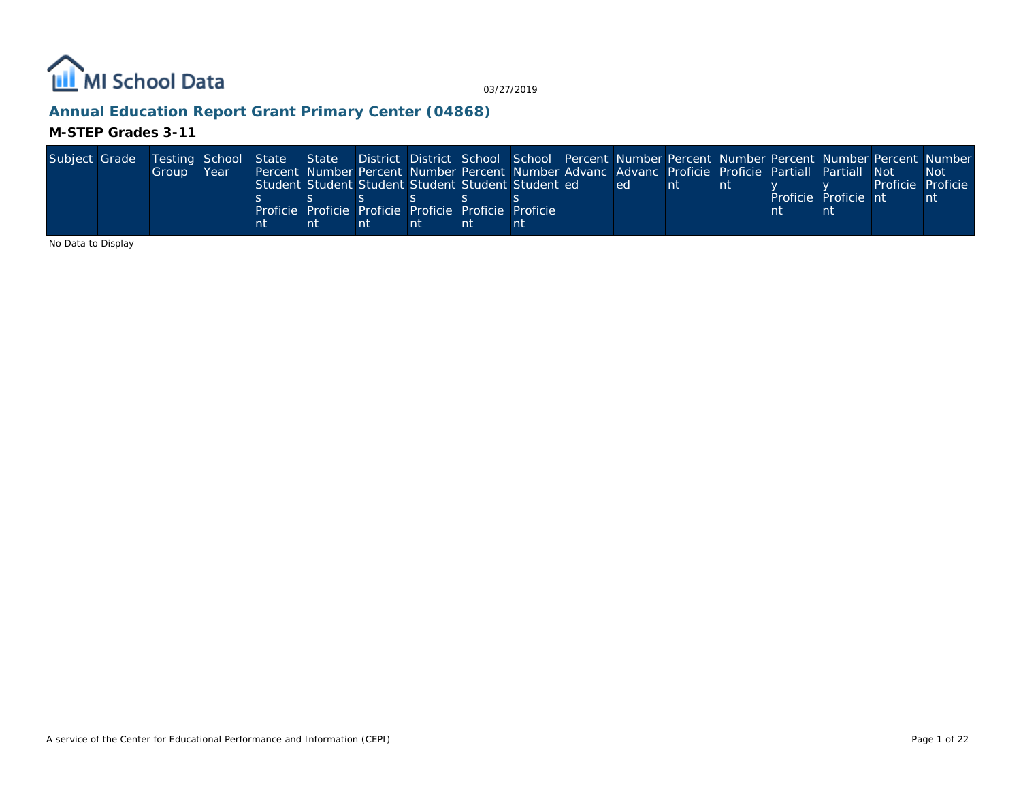

# **Annual Education Report Grant Primary Center (04868)**

#### **M-STEP Grades 3-11**

| Subject Grade | Testing School State State District District School School Percent Number Percent Number Percent Number Percent Number |      |    |    |    |    |                                                                                                    |  |    |               |                      |                   |      |
|---------------|------------------------------------------------------------------------------------------------------------------------|------|----|----|----|----|----------------------------------------------------------------------------------------------------|--|----|---------------|----------------------|-------------------|------|
|               | Group                                                                                                                  | Year |    |    |    |    | Percent Number Percent Number Percent Number Advanc Advanc Proficie Proficie Partiall Partiall Not |  |    |               |                      |                   | -Not |
|               |                                                                                                                        |      |    |    |    |    | Student Student Student Student Student Student ed                                                 |  | ed | <sub>nt</sub> |                      | Proficie Proficie |      |
|               |                                                                                                                        |      |    |    |    |    |                                                                                                    |  |    |               | Proficie Proficie nt |                   | nt   |
|               |                                                                                                                        |      |    |    |    |    | Proficie Proficie Proficie Proficie Proficie Proficie                                              |  |    |               |                      |                   |      |
|               |                                                                                                                        |      | nt | nt | nt | nī |                                                                                                    |  |    |               |                      |                   |      |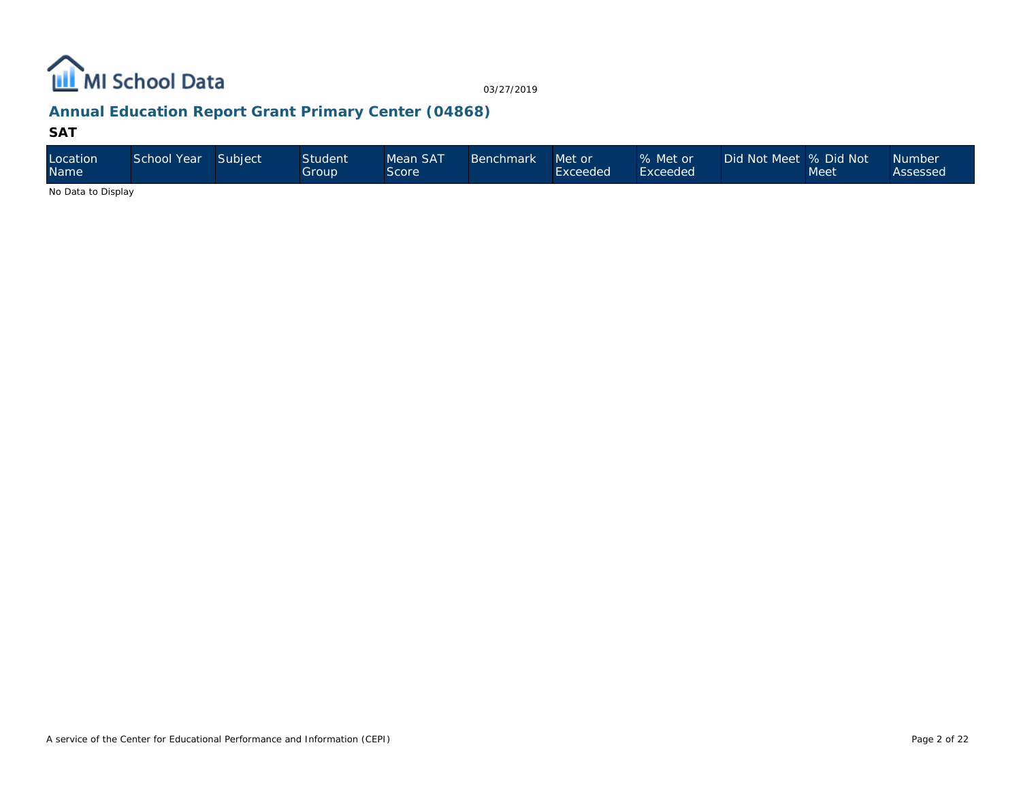

# **Annual Education Report Grant Primary Center (04868)**

#### **SAT**

| Location<br>Name   | School Year | Subject | <b>Student</b><br>Group' | Mean SAT<br>Score | <b>Benchmark</b> | Met or<br>Exceeded | % Met or<br>Exceeded | Did Not Meet % Did Not | Meet | <b>Number</b><br>Assessed |
|--------------------|-------------|---------|--------------------------|-------------------|------------------|--------------------|----------------------|------------------------|------|---------------------------|
| No Dota to Dianlou |             |         |                          |                   |                  |                    |                      |                        |      |                           |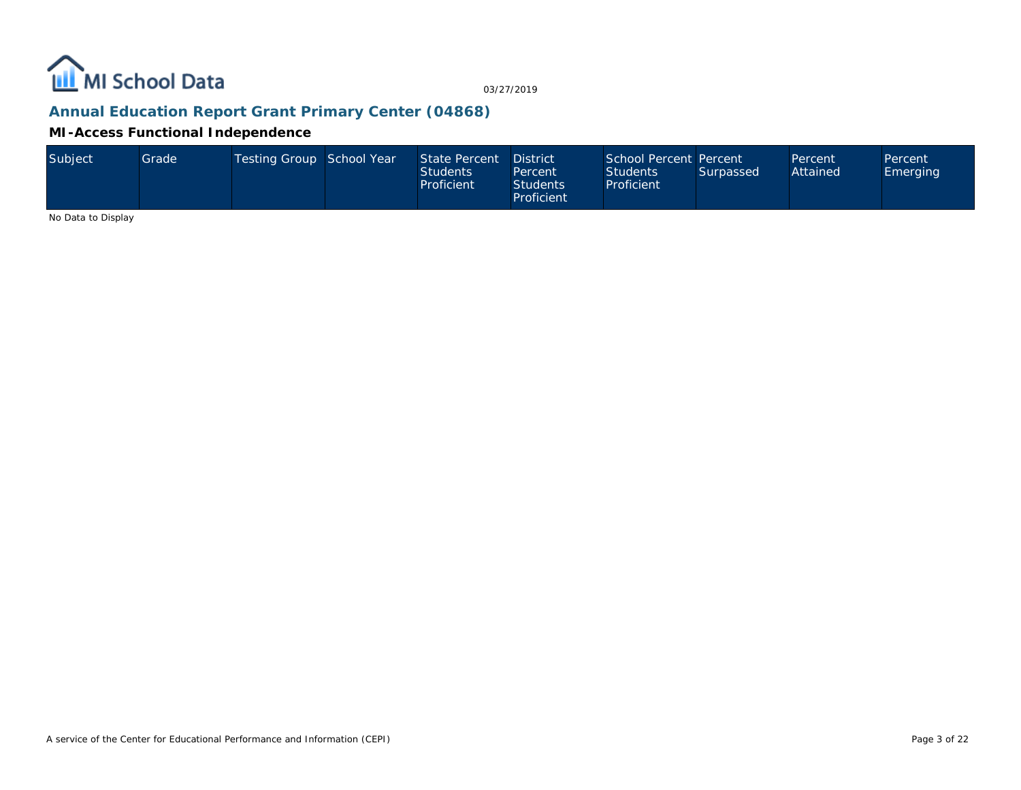

# **Annual Education Report Grant Primary Center (04868)**

**MI-Access Functional Independence**

| Subject | Gradel | Testing Group School Year |  | State Percent<br>Students<br>Proficient | <b>District</b><br>Percent<br>Students <sup>1</sup><br><b>Proficient</b> | School Percent Percent<br>Students<br>Proficient | Surpassed | Percent<br>Attained | Percent<br>Emerging |
|---------|--------|---------------------------|--|-----------------------------------------|--------------------------------------------------------------------------|--------------------------------------------------|-----------|---------------------|---------------------|
|---------|--------|---------------------------|--|-----------------------------------------|--------------------------------------------------------------------------|--------------------------------------------------|-----------|---------------------|---------------------|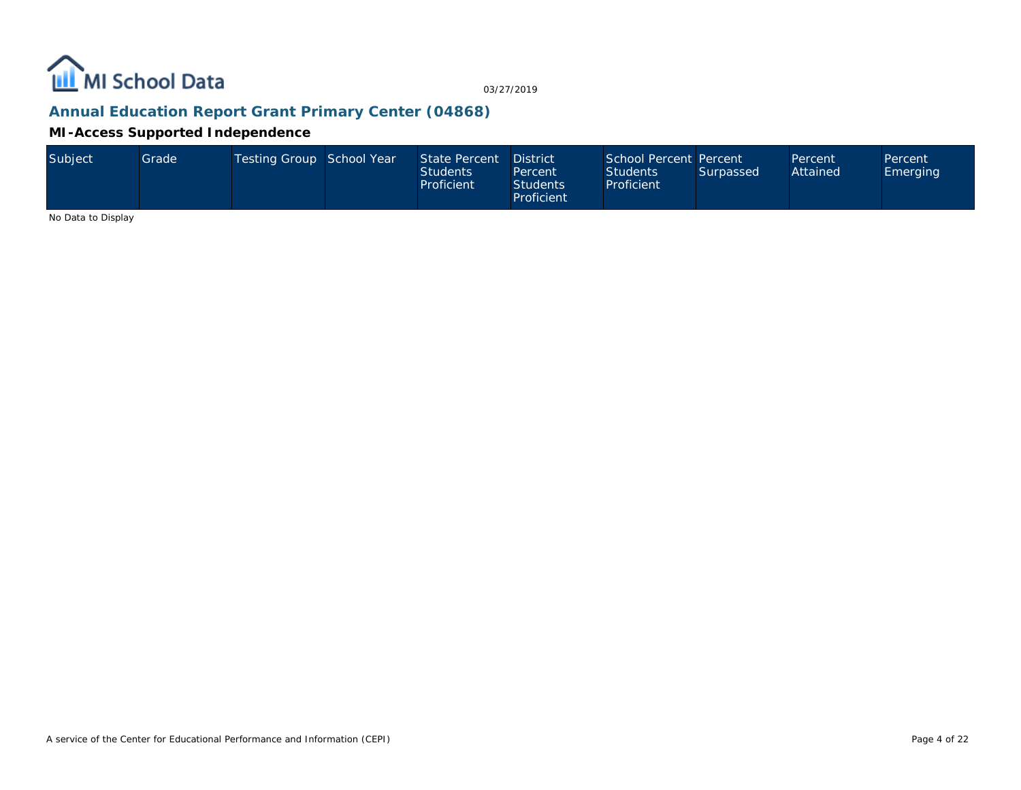

# **Annual Education Report Grant Primary Center (04868)**

**MI-Access Supported Independence**

| Subject | Gradel | Testing Group School Year |  | State Percent<br><b>Students</b><br>Proficient | <b>District</b><br>Percent<br><b>Students</b><br>Proficient | School Percent Percent<br><b>Students</b><br>Proficient | Surpassed | Percent<br>Attained | Percent<br>Emerging |
|---------|--------|---------------------------|--|------------------------------------------------|-------------------------------------------------------------|---------------------------------------------------------|-----------|---------------------|---------------------|
|---------|--------|---------------------------|--|------------------------------------------------|-------------------------------------------------------------|---------------------------------------------------------|-----------|---------------------|---------------------|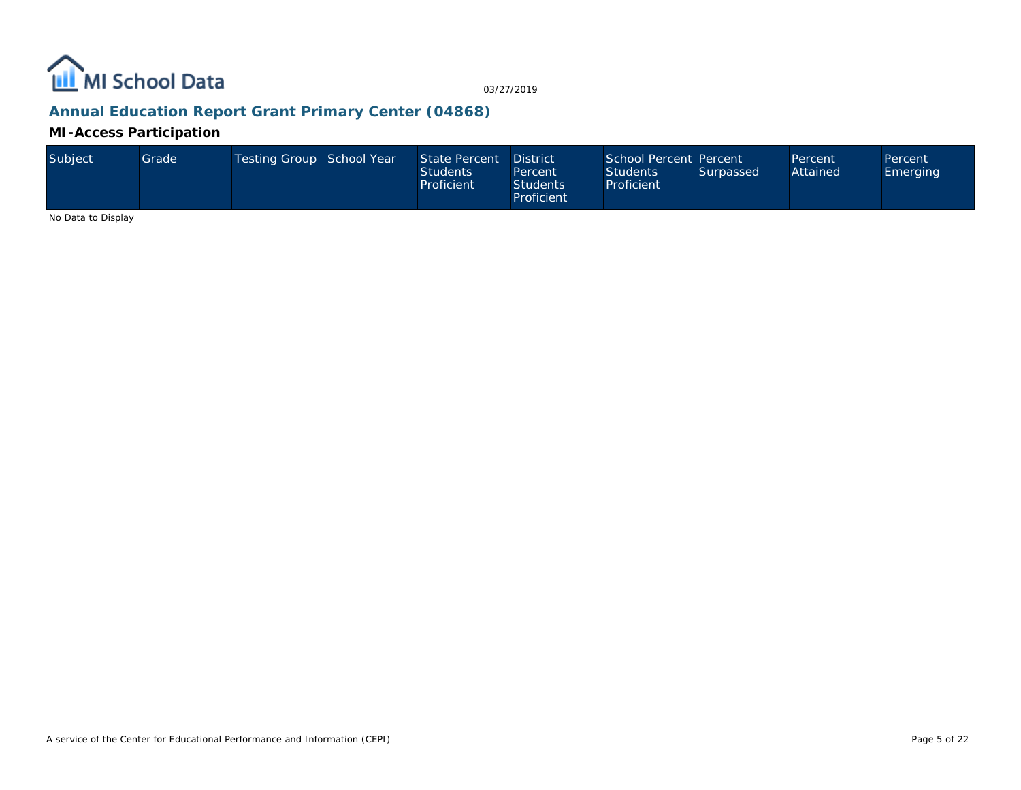

# **Annual Education Report Grant Primary Center (04868)**

**MI-Access Participation**

| Subject | Grade | Testing Group School Year |  | State Percent<br><b>Students</b><br>Proficient | <b>District</b><br>Percent<br>Students<br>Proficient | School Percent Percent<br><b>Students</b><br>Proficient | Surpassed | Percent<br>Attained | Percent<br>Emerging |
|---------|-------|---------------------------|--|------------------------------------------------|------------------------------------------------------|---------------------------------------------------------|-----------|---------------------|---------------------|
|---------|-------|---------------------------|--|------------------------------------------------|------------------------------------------------------|---------------------------------------------------------|-----------|---------------------|---------------------|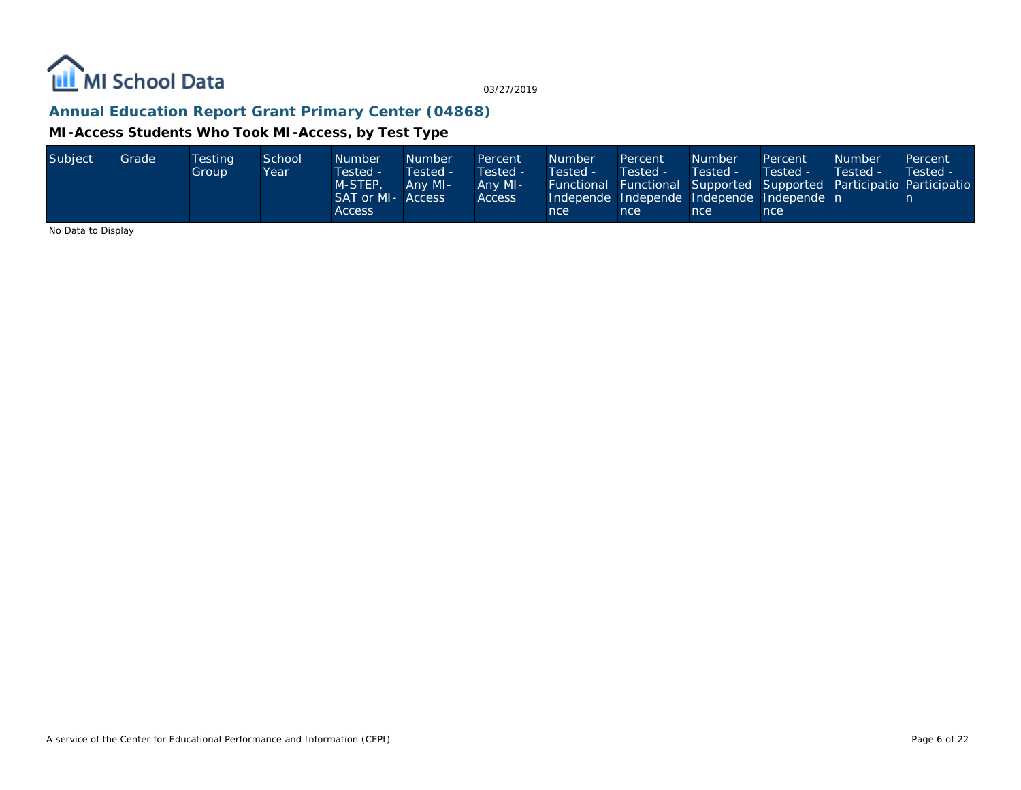

# **Annual Education Report Grant Primary Center (04868)**

#### **MI-Access Students Who Took MI-Access, by Test Type**

| Subject<br>Grade<br>School<br>Testina<br><b>Number</b><br><b>Number</b><br>Percent<br>Tested -<br>Tested -<br>Tested -<br>Group<br>Year<br>M-STEP.<br>Any MI-<br>Any MI-<br>SAT or MI-<br>Access<br><b>Access</b><br>Access | <b>Number</b><br>Percent<br>Tested -<br>Tested -<br><b>Functional Functional Supported Supported Participatio Participatio</b><br>Independe Independe Independe Independe n<br>nce i<br>nce | <b>Number</b><br>Tested -<br>nce | Percent<br>Tested -<br>nce | <b>Number</b><br>Tested - | Percent<br>Tested - |
|-----------------------------------------------------------------------------------------------------------------------------------------------------------------------------------------------------------------------------|---------------------------------------------------------------------------------------------------------------------------------------------------------------------------------------------|----------------------------------|----------------------------|---------------------------|---------------------|
|-----------------------------------------------------------------------------------------------------------------------------------------------------------------------------------------------------------------------------|---------------------------------------------------------------------------------------------------------------------------------------------------------------------------------------------|----------------------------------|----------------------------|---------------------------|---------------------|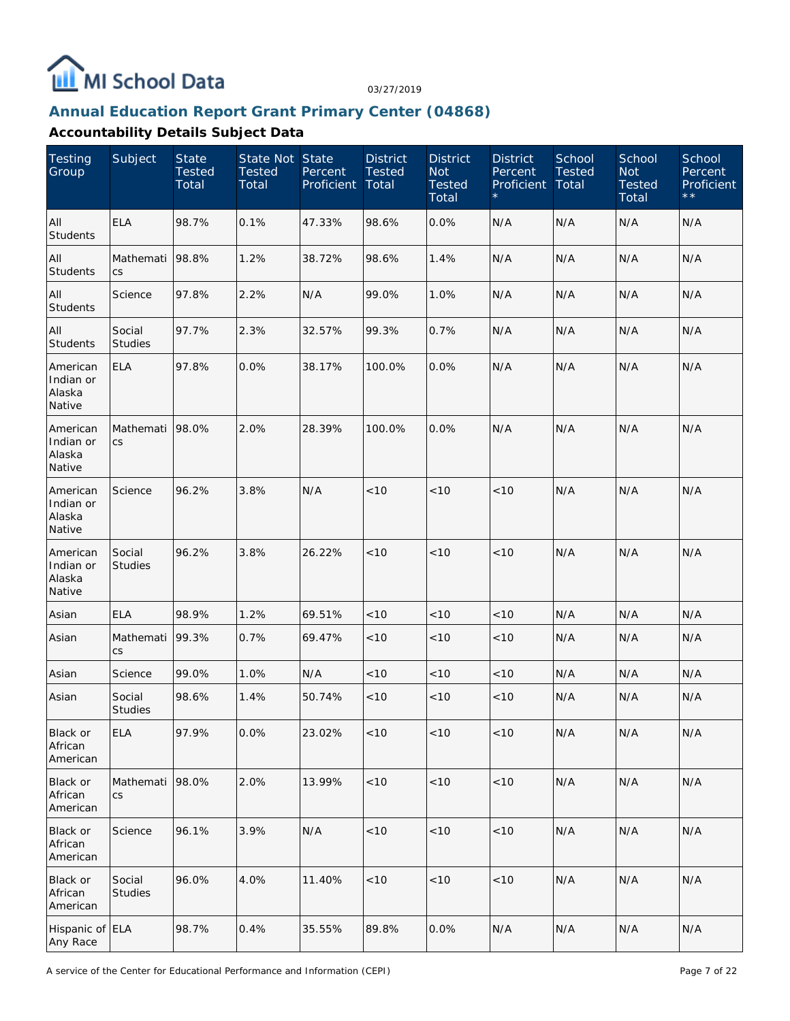

#### **Annual Education Report Grant Primary Center (04868)**

| Testing<br>Group                          | Subject                  | <b>State</b><br><b>Tested</b><br>Total | State Not State<br><b>Tested</b><br>Total | Percent<br>Proficient | <b>District</b><br><b>Tested</b><br>Total | <b>District</b><br><b>Not</b><br><b>Tested</b><br>Total | <b>District</b><br>Percent<br>Proficient | School<br><b>Tested</b><br>Total | School<br><b>Not</b><br><b>Tested</b><br>Total | School<br>Percent<br>Proficient<br>$\star \star$ |
|-------------------------------------------|--------------------------|----------------------------------------|-------------------------------------------|-----------------------|-------------------------------------------|---------------------------------------------------------|------------------------------------------|----------------------------------|------------------------------------------------|--------------------------------------------------|
| All<br><b>Students</b>                    | <b>ELA</b>               | 98.7%                                  | 0.1%                                      | 47.33%                | 98.6%                                     | 0.0%                                                    | N/A                                      | N/A                              | N/A                                            | N/A                                              |
| All<br><b>Students</b>                    | Mathemati<br>CS          | 98.8%                                  | 1.2%                                      | 38.72%                | 98.6%                                     | 1.4%                                                    | N/A                                      | N/A                              | N/A                                            | N/A                                              |
| All<br>Students                           | Science                  | 97.8%                                  | 2.2%                                      | N/A                   | 99.0%                                     | 1.0%                                                    | N/A                                      | N/A                              | N/A                                            | N/A                                              |
| All<br>Students                           | Social<br><b>Studies</b> | 97.7%                                  | 2.3%                                      | 32.57%                | 99.3%                                     | 0.7%                                                    | N/A                                      | N/A                              | N/A                                            | N/A                                              |
| American<br>Indian or<br>Alaska<br>Native | <b>ELA</b>               | 97.8%                                  | 0.0%                                      | 38.17%                | 100.0%                                    | 0.0%                                                    | N/A                                      | N/A                              | N/A                                            | N/A                                              |
| American<br>Indian or<br>Alaska<br>Native | Mathemati<br>CS          | 98.0%                                  | 2.0%                                      | 28.39%                | 100.0%                                    | 0.0%                                                    | N/A                                      | N/A                              | N/A                                            | N/A                                              |
| American<br>Indian or<br>Alaska<br>Native | Science                  | 96.2%                                  | 3.8%                                      | N/A                   | < 10                                      | < 10                                                    | < 10                                     | N/A                              | N/A                                            | N/A                                              |
| American<br>Indian or<br>Alaska<br>Native | Social<br>Studies        | 96.2%                                  | 3.8%                                      | 26.22%                | < 10                                      | < 10                                                    | < 10                                     | N/A                              | N/A                                            | N/A                                              |
| Asian                                     | <b>ELA</b>               | 98.9%                                  | 1.2%                                      | 69.51%                | < 10                                      | < 10                                                    | < 10                                     | N/A                              | N/A                                            | N/A                                              |
| Asian                                     | Mathemati<br>CS          | 99.3%                                  | 0.7%                                      | 69.47%                | < 10                                      | < 10                                                    | < 10                                     | N/A                              | N/A                                            | N/A                                              |
| Asian                                     | Science                  | 99.0%                                  | 1.0%                                      | N/A                   | <10                                       | < 10                                                    | $<10$                                    | N/A                              | N/A                                            | N/A                                              |
| Asian                                     | Social<br><b>Studies</b> | 98.6%                                  | 1.4%                                      | 50.74%                | < 10                                      | < 10                                                    | $<10$                                    | N/A                              | N/A                                            | N/A                                              |
| Black or<br>African<br>American           | <b>ELA</b>               | 97.9%                                  | 0.0%                                      | 23.02%                | < 10                                      | $<10$                                                   | < 10                                     | N/A                              | N/A                                            | N/A                                              |
| Black or<br>African<br>American           | Mathemati<br>CS          | 98.0%                                  | 2.0%                                      | 13.99%                | $<10$                                     | $<10$                                                   | < 10                                     | N/A                              | N/A                                            | N/A                                              |
| Black or<br>African<br>American           | Science                  | 96.1%                                  | 3.9%                                      | N/A                   | $<10$                                     | $<10$                                                   | < 10                                     | N/A                              | N/A                                            | N/A                                              |
| Black or<br>African<br>American           | Social<br>Studies        | 96.0%                                  | 4.0%                                      | 11.40%                | < 10                                      | $<10$                                                   | $<10$                                    | N/A                              | N/A                                            | N/A                                              |
| Hispanic of ELA<br>Any Race               |                          | 98.7%                                  | 0.4%                                      | 35.55%                | 89.8%                                     | 0.0%                                                    | N/A                                      | N/A                              | N/A                                            | N/A                                              |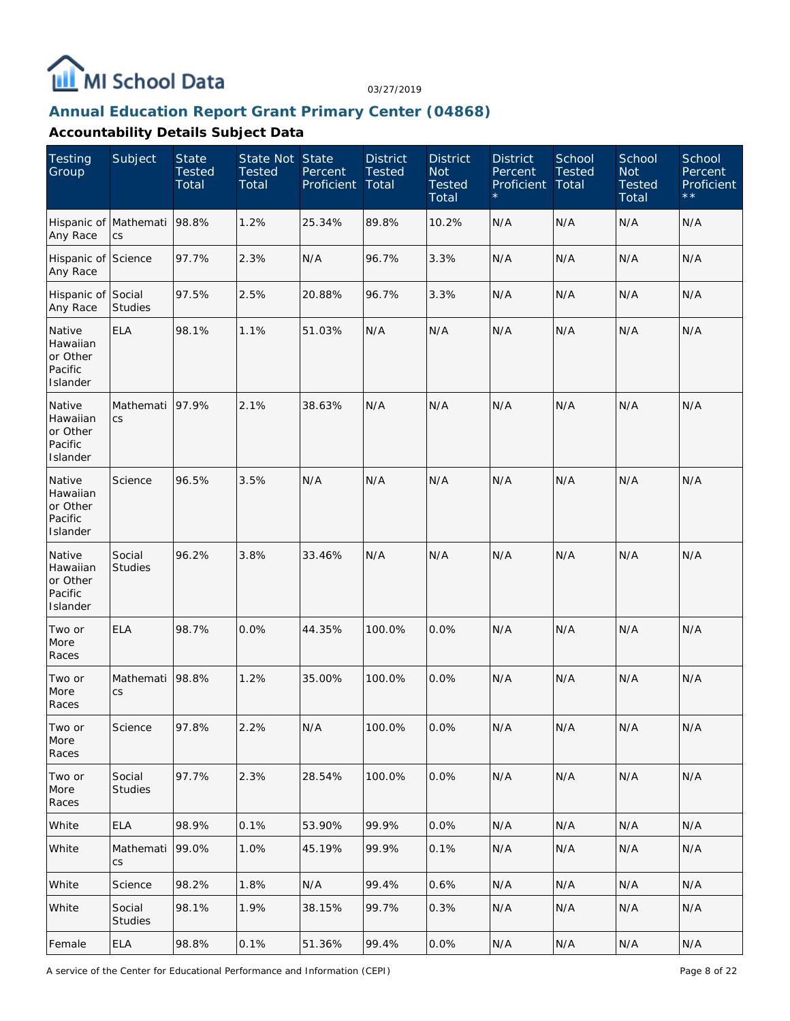

#### **Annual Education Report Grant Primary Center (04868)**

| <b>Testing</b><br>Group                               | Subject                  | <b>State</b><br><b>Tested</b><br>Total | State Not State<br><b>Tested</b><br>Total | Percent<br>Proficient | <b>District</b><br><b>Tested</b><br>Total | <b>District</b><br><b>Not</b><br><b>Tested</b><br>Total | <b>District</b><br>Percent<br>Proficient | School<br><b>Tested</b><br>Total | School<br><b>Not</b><br><b>Tested</b><br>Total | School<br>Percent<br>Proficient<br>$\star\star$ |
|-------------------------------------------------------|--------------------------|----------------------------------------|-------------------------------------------|-----------------------|-------------------------------------------|---------------------------------------------------------|------------------------------------------|----------------------------------|------------------------------------------------|-------------------------------------------------|
| Hispanic of Mathemati<br>Any Race                     | CS                       | 98.8%                                  | 1.2%                                      | 25.34%                | 89.8%                                     | 10.2%                                                   | N/A                                      | N/A                              | N/A                                            | N/A                                             |
| Hispanic of Science<br>Any Race                       |                          | 97.7%                                  | 2.3%                                      | N/A                   | 96.7%                                     | 3.3%                                                    | N/A                                      | N/A                              | N/A                                            | N/A                                             |
| Hispanic of Social<br>Any Race                        | <b>Studies</b>           | 97.5%                                  | 2.5%                                      | 20.88%                | 96.7%                                     | 3.3%                                                    | N/A                                      | N/A                              | N/A                                            | N/A                                             |
| Native<br>Hawaiian<br>or Other<br>Pacific<br>Islander | <b>ELA</b>               | 98.1%                                  | 1.1%                                      | 51.03%                | N/A                                       | N/A                                                     | N/A                                      | N/A                              | N/A                                            | N/A                                             |
| Native<br>Hawaiian<br>or Other<br>Pacific<br>Islander | Mathemati<br>CS          | 97.9%                                  | 2.1%                                      | 38.63%                | N/A                                       | N/A                                                     | N/A                                      | N/A                              | N/A                                            | N/A                                             |
| Native<br>Hawaiian<br>or Other<br>Pacific<br>Islander | Science                  | 96.5%                                  | 3.5%                                      | N/A                   | N/A                                       | N/A                                                     | N/A                                      | N/A                              | N/A                                            | N/A                                             |
| Native<br>Hawaiian<br>or Other<br>Pacific<br>Islander | Social<br><b>Studies</b> | 96.2%                                  | 3.8%                                      | 33.46%                | N/A                                       | N/A                                                     | N/A                                      | N/A                              | N/A                                            | N/A                                             |
| Two or<br>More<br>Races                               | <b>ELA</b>               | 98.7%                                  | 0.0%                                      | 44.35%                | 100.0%                                    | 0.0%                                                    | N/A                                      | N/A                              | N/A                                            | N/A                                             |
| Two or<br>More<br>Races                               | Mathemati<br>CS          | 98.8%                                  | 1.2%                                      | 35.00%                | 100.0%                                    | 0.0%                                                    | N/A                                      | N/A                              | N/A                                            | N/A                                             |
| Two or<br>More<br>Races                               | Science                  | 97.8%                                  | 2.2%                                      | N/A                   | 100.0%                                    | 0.0%                                                    | N/A                                      | N/A                              | N/A                                            | N/A                                             |
| Two or<br>More<br>Races                               | Social<br>Studies        | 97.7%                                  | 2.3%                                      | 28.54%                | 100.0%                                    | 0.0%                                                    | N/A                                      | N/A                              | N/A                                            | N/A                                             |
| White                                                 | <b>ELA</b>               | 98.9%                                  | 0.1%                                      | 53.90%                | 99.9%                                     | 0.0%                                                    | N/A                                      | N/A                              | N/A                                            | N/A                                             |
| White                                                 | Mathemati<br>CS          | 99.0%                                  | 1.0%                                      | 45.19%                | 99.9%                                     | 0.1%                                                    | N/A                                      | N/A                              | N/A                                            | N/A                                             |
| White                                                 | Science                  | 98.2%                                  | 1.8%                                      | N/A                   | 99.4%                                     | 0.6%                                                    | N/A                                      | N/A                              | N/A                                            | N/A                                             |
| White                                                 | Social<br><b>Studies</b> | 98.1%                                  | 1.9%                                      | 38.15%                | 99.7%                                     | 0.3%                                                    | N/A                                      | N/A                              | N/A                                            | N/A                                             |
| Female                                                | <b>ELA</b>               | 98.8%                                  | 0.1%                                      | 51.36%                | 99.4%                                     | 0.0%                                                    | N/A                                      | N/A                              | N/A                                            | N/A                                             |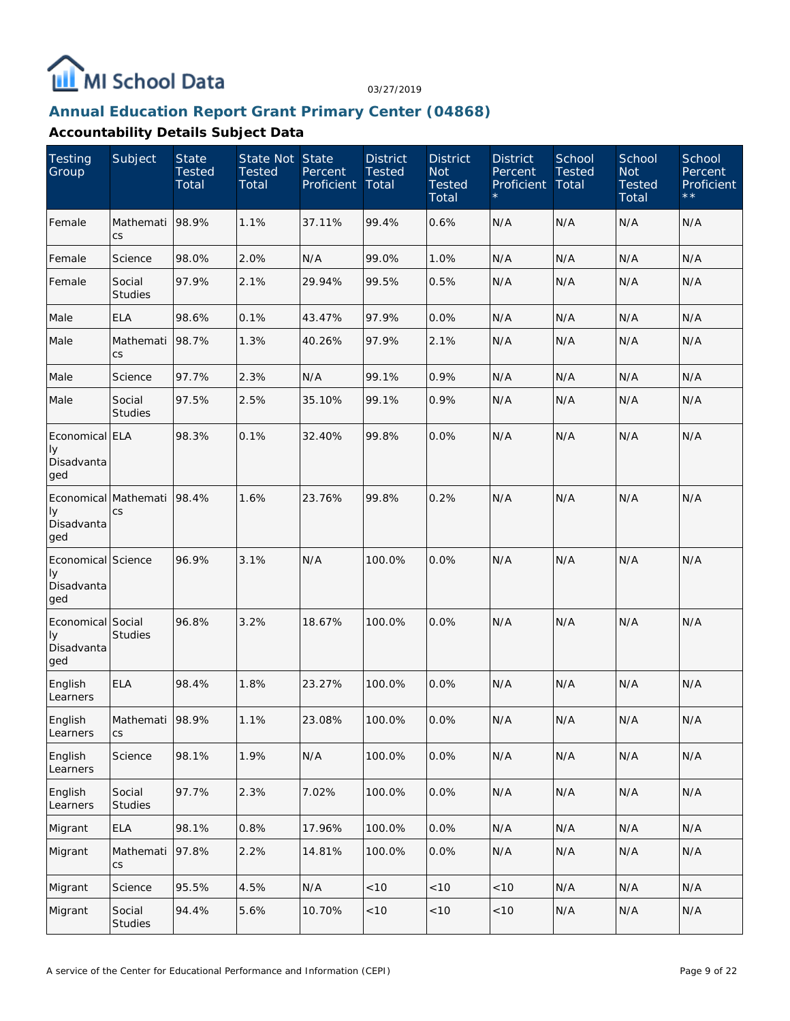

#### **Annual Education Report Grant Primary Center (04868)**

| Testing<br>Group                              | Subject                            | <b>State</b><br><b>Tested</b><br>Total | State Not State<br><b>Tested</b><br>Total | Percent<br>Proficient | <b>District</b><br><b>Tested</b><br>Total | <b>District</b><br><b>Not</b><br><b>Tested</b><br>Total | <b>District</b><br>Percent<br>Proficient | School<br><b>Tested</b><br>Total | School<br><b>Not</b><br><b>Tested</b><br>Total | School<br>Percent<br>Proficient<br>$\star \star$ |
|-----------------------------------------------|------------------------------------|----------------------------------------|-------------------------------------------|-----------------------|-------------------------------------------|---------------------------------------------------------|------------------------------------------|----------------------------------|------------------------------------------------|--------------------------------------------------|
| Female                                        | Mathemati<br>CS                    | 98.9%                                  | 1.1%                                      | 37.11%                | 99.4%                                     | 0.6%                                                    | N/A                                      | N/A                              | N/A                                            | N/A                                              |
| Female                                        | Science                            | 98.0%                                  | 2.0%                                      | N/A                   | 99.0%                                     | 1.0%                                                    | N/A                                      | N/A                              | N/A                                            | N/A                                              |
| Female                                        | Social<br><b>Studies</b>           | 97.9%                                  | 2.1%                                      | 29.94%                | 99.5%                                     | 0.5%                                                    | N/A                                      | N/A                              | N/A                                            | N/A                                              |
| Male                                          | <b>ELA</b>                         | 98.6%                                  | 0.1%                                      | 43.47%                | 97.9%                                     | 0.0%                                                    | N/A                                      | N/A                              | N/A                                            | N/A                                              |
| Male                                          | Mathemati<br>CS                    | 98.7%                                  | 1.3%                                      | 40.26%                | 97.9%                                     | 2.1%                                                    | N/A                                      | N/A                              | N/A                                            | N/A                                              |
| Male                                          | Science                            | 97.7%                                  | 2.3%                                      | N/A                   | 99.1%                                     | 0.9%                                                    | N/A                                      | N/A                              | N/A                                            | N/A                                              |
| Male                                          | Social<br><b>Studies</b>           | 97.5%                                  | 2.5%                                      | 35.10%                | 99.1%                                     | 0.9%                                                    | N/A                                      | N/A                              | N/A                                            | N/A                                              |
| Economical ELA<br>Iу<br>Disadvanta<br>ged     |                                    | 98.3%                                  | 0.1%                                      | 32.40%                | 99.8%                                     | 0.0%                                                    | N/A                                      | N/A                              | N/A                                            | N/A                                              |
| Iу<br>Disadvanta<br>ged                       | Economical Mathemati   98.4%<br>CS |                                        | 1.6%                                      | 23.76%                | 99.8%                                     | 0.2%                                                    | N/A                                      | N/A                              | N/A                                            | N/A                                              |
| Economical Science<br>Iу<br>Disadvanta<br>ged |                                    | 96.9%                                  | 3.1%                                      | N/A                   | 100.0%                                    | 0.0%                                                    | N/A                                      | N/A                              | N/A                                            | N/A                                              |
| Economical Social<br>Iу<br>Disadvanta<br>ged  | <b>Studies</b>                     | 96.8%                                  | 3.2%                                      | 18.67%                | 100.0%                                    | 0.0%                                                    | N/A                                      | N/A                              | N/A                                            | N/A                                              |
| English<br>Learners                           | <b>ELA</b>                         | 98.4%                                  | 1.8%                                      | 23.27%                | 100.0%                                    | 0.0%                                                    | N/A                                      | N/A                              | N/A                                            | N/A                                              |
| English<br>Learners                           | Mathemati 98.9%<br>CS              |                                        | 1.1%                                      | 23.08%                | 100.0%                                    | 0.0%                                                    | N/A                                      | N/A                              | $\mathsf{N}/\mathsf{A}$                        | N/A                                              |
| English<br>Learners                           | Science                            | 98.1%                                  | 1.9%                                      | N/A                   | 100.0%                                    | 0.0%                                                    | N/A                                      | N/A                              | N/A                                            | N/A                                              |
| English<br>Learners                           | Social<br><b>Studies</b>           | 97.7%                                  | 2.3%                                      | 7.02%                 | 100.0%                                    | 0.0%                                                    | N/A                                      | N/A                              | N/A                                            | N/A                                              |
| Migrant                                       | ELA                                | 98.1%                                  | 0.8%                                      | 17.96%                | 100.0%                                    | 0.0%                                                    | N/A                                      | N/A                              | N/A                                            | N/A                                              |
| Migrant                                       | Mathemati<br>CS                    | 97.8%                                  | 2.2%                                      | 14.81%                | 100.0%                                    | 0.0%                                                    | N/A                                      | N/A                              | N/A                                            | N/A                                              |
| Migrant                                       | Science                            | 95.5%                                  | 4.5%                                      | N/A                   | <10                                       | $<10$                                                   | <10                                      | N/A                              | N/A                                            | N/A                                              |
| Migrant                                       | Social<br>Studies                  | 94.4%                                  | 5.6%                                      | 10.70%                | < 10                                      | $<\!10$                                                 | < 10                                     | N/A                              | N/A                                            | N/A                                              |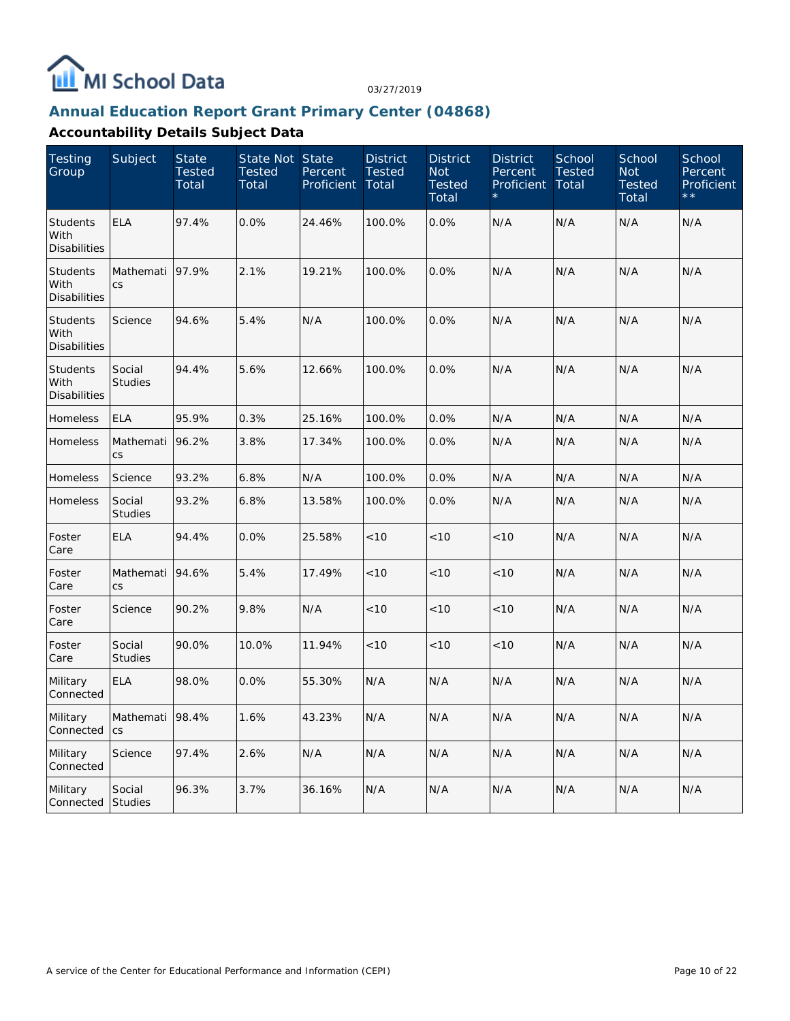

#### **Annual Education Report Grant Primary Center (04868)**

| <b>Testing</b><br>Group                        | Subject                  | <b>State</b><br><b>Tested</b><br>Total | State Not<br><b>Tested</b><br>Total | <b>State</b><br>Percent<br><b>Proficient</b> | <b>District</b><br><b>Tested</b><br>Total | <b>District</b><br><b>Not</b><br><b>Tested</b><br>Total | <b>District</b><br>Percent<br>Proficient | School<br><b>Tested</b><br>Total | School<br><b>Not</b><br><b>Tested</b><br>Total | School<br>Percent<br>Proficient |
|------------------------------------------------|--------------------------|----------------------------------------|-------------------------------------|----------------------------------------------|-------------------------------------------|---------------------------------------------------------|------------------------------------------|----------------------------------|------------------------------------------------|---------------------------------|
| <b>Students</b><br>With<br><b>Disabilities</b> | <b>ELA</b>               | 97.4%                                  | 0.0%                                | 24.46%                                       | 100.0%                                    | 0.0%                                                    | N/A                                      | N/A                              | N/A                                            | N/A                             |
| Students<br>With<br><b>Disabilities</b>        | Mathemati<br>CS          | 97.9%                                  | 2.1%                                | 19.21%                                       | 100.0%                                    | 0.0%                                                    | N/A                                      | N/A                              | N/A                                            | N/A                             |
| <b>Students</b><br>With<br><b>Disabilities</b> | Science                  | 94.6%                                  | 5.4%                                | N/A                                          | 100.0%                                    | 0.0%                                                    | N/A                                      | N/A                              | N/A                                            | N/A                             |
| Students<br>With<br><b>Disabilities</b>        | Social<br><b>Studies</b> | 94.4%                                  | 5.6%                                | 12.66%                                       | 100.0%                                    | 0.0%                                                    | N/A                                      | N/A                              | N/A                                            | N/A                             |
| Homeless                                       | <b>ELA</b>               | 95.9%                                  | 0.3%                                | 25.16%                                       | 100.0%                                    | 0.0%                                                    | N/A                                      | N/A                              | N/A                                            | N/A                             |
| Homeless                                       | Mathemati<br><b>CS</b>   | 96.2%                                  | 3.8%                                | 17.34%                                       | 100.0%                                    | 0.0%                                                    | N/A                                      | N/A                              | N/A                                            | N/A                             |
| Homeless                                       | Science                  | 93.2%                                  | 6.8%                                | N/A                                          | 100.0%                                    | 0.0%                                                    | N/A                                      | N/A                              | N/A                                            | N/A                             |
| Homeless                                       | Social<br><b>Studies</b> | 93.2%                                  | 6.8%                                | 13.58%                                       | 100.0%                                    | 0.0%                                                    | N/A                                      | N/A                              | N/A                                            | N/A                             |
| Foster<br>Care                                 | <b>ELA</b>               | 94.4%                                  | 0.0%                                | 25.58%                                       | < 10                                      | < 10                                                    | < 10                                     | N/A                              | N/A                                            | N/A                             |
| Foster<br>Care                                 | Mathemati<br><b>CS</b>   | 94.6%                                  | 5.4%                                | 17.49%                                       | < 10                                      | < 10                                                    | < 10                                     | N/A                              | N/A                                            | N/A                             |
| Foster<br>Care                                 | Science                  | 90.2%                                  | 9.8%                                | N/A                                          | < 10                                      | < 10                                                    | < 10                                     | N/A                              | N/A                                            | N/A                             |
| Foster<br>Care                                 | Social<br><b>Studies</b> | 90.0%                                  | 10.0%                               | 11.94%                                       | < 10                                      | < 10                                                    | < 10                                     | N/A                              | N/A                                            | N/A                             |
| Military<br>Connected                          | <b>ELA</b>               | 98.0%                                  | 0.0%                                | 55.30%                                       | N/A                                       | N/A                                                     | N/A                                      | N/A                              | N/A                                            | N/A                             |
| Military<br>Connected                          | Mathemati<br>CS          | 98.4%                                  | 1.6%                                | 43.23%                                       | N/A                                       | N/A                                                     | N/A                                      | N/A                              | N/A                                            | N/A                             |
| Military<br>Connected                          | Science                  | 97.4%                                  | 2.6%                                | N/A                                          | N/A                                       | N/A                                                     | N/A                                      | N/A                              | N/A                                            | N/A                             |
| Military<br>Connected                          | Social<br><b>Studies</b> | 96.3%                                  | 3.7%                                | 36.16%                                       | N/A                                       | N/A                                                     | N/A                                      | N/A                              | N/A                                            | N/A                             |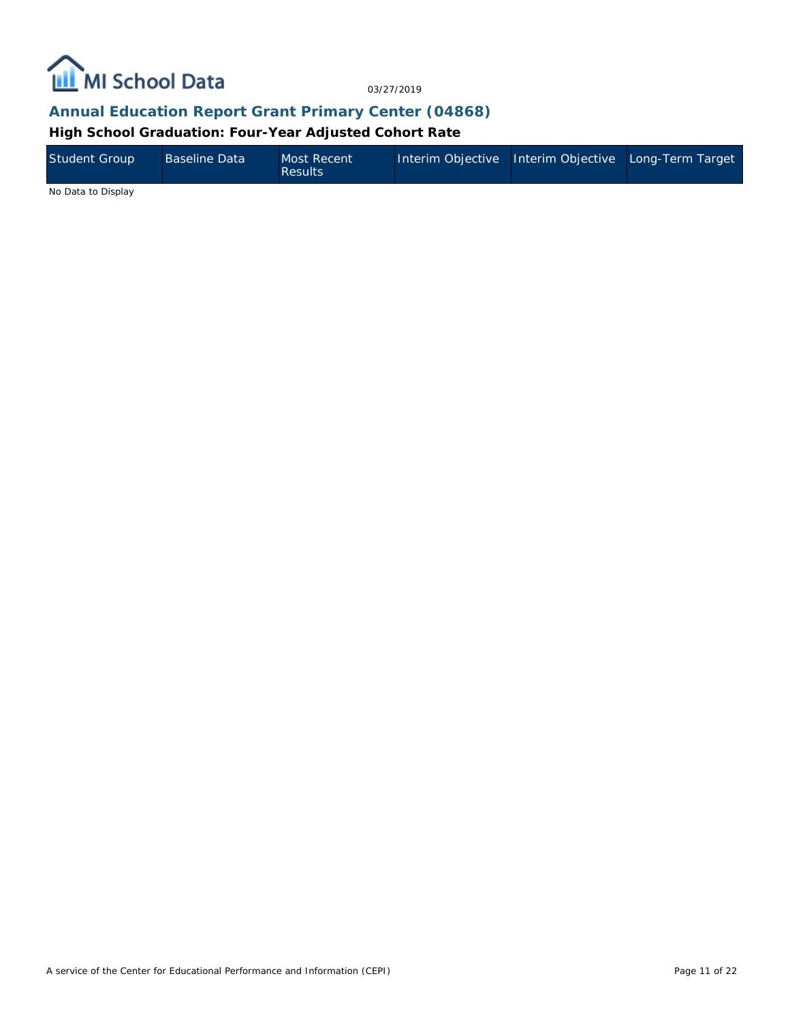

#### **Annual Education Report Grant Primary Center (04868)**

**High School Graduation: Four-Year Adjusted Cohort Rate**

| <b>Student Group</b> | <b>Baseline Data</b> | Most Recent<br><b>Results</b> | Interim Objective Interim Objective Long-Term Target |  |
|----------------------|----------------------|-------------------------------|------------------------------------------------------|--|
| .                    |                      |                               |                                                      |  |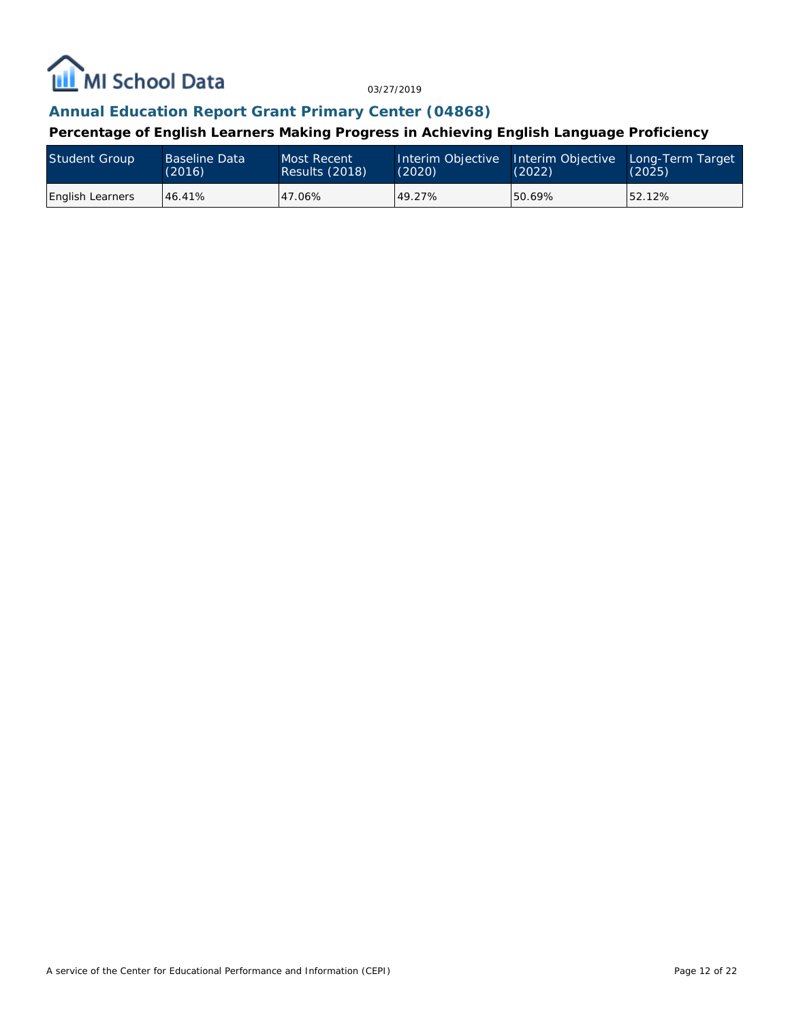

## **Annual Education Report Grant Primary Center (04868)**

**Percentage of English Learners Making Progress in Achieving English Language Proficiency**

| <b>Student Group</b>    | Baseline Data | Most Recent    | Interim Objective | Interim Objective | Long-Term Target |
|-------------------------|---------------|----------------|-------------------|-------------------|------------------|
|                         | (2016)        | Results (2018) | (2020)            | (2022)            | (2025)           |
| <b>English Learners</b> | 46.41%        | 47.06%         | 49.27%            | 50.69%            | 52.12%           |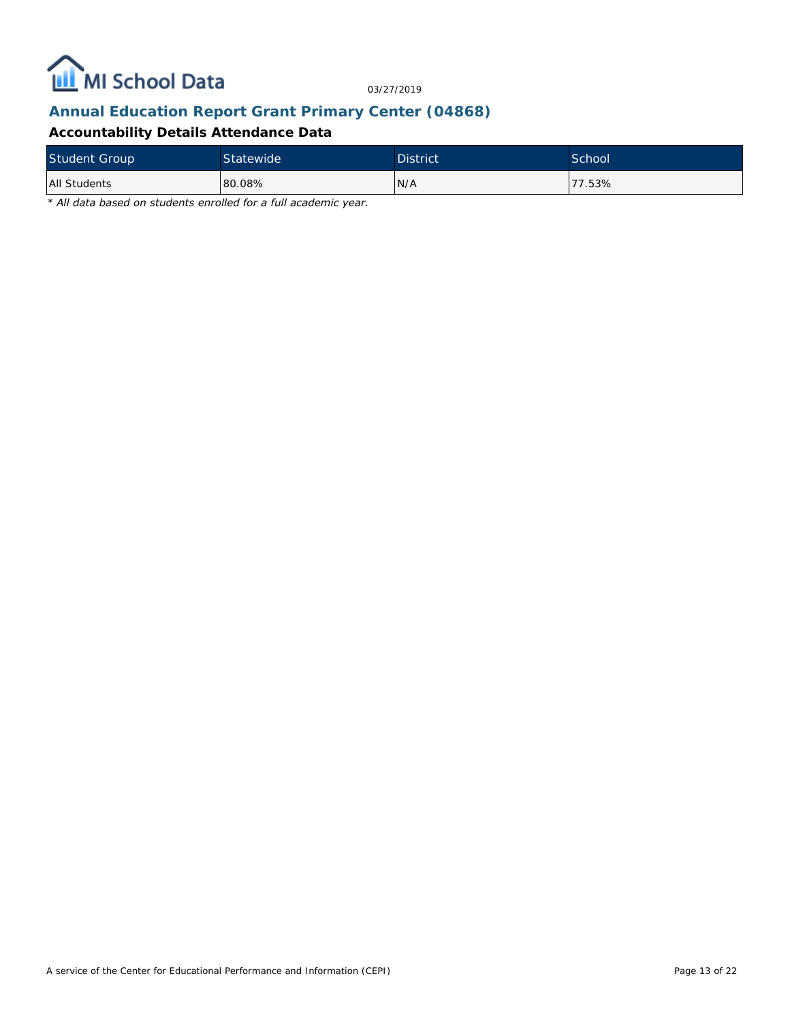

## **Annual Education Report Grant Primary Center (04868)**

#### **Accountability Details Attendance Data**

| <b>Student Group</b> | <b>Statewide</b> | <b>District</b> | School |
|----------------------|------------------|-----------------|--------|
| <b>All Students</b>  | 80.08%           | N/A             | 77.53% |

*\* All data based on students enrolled for a full academic year.*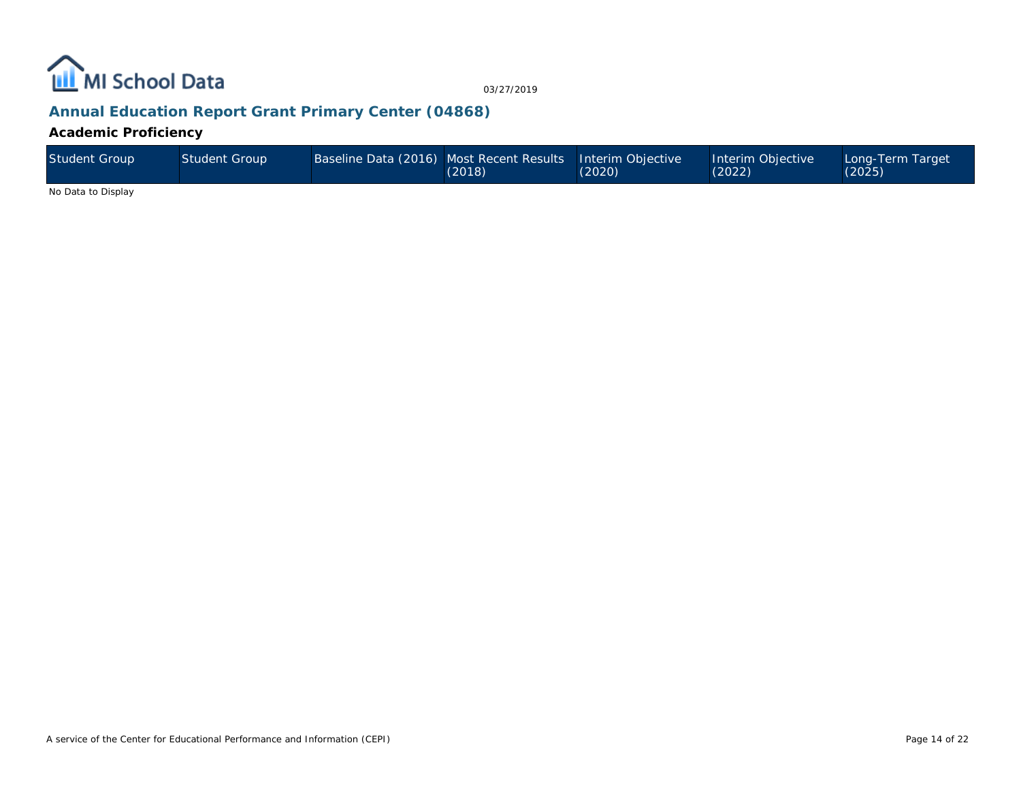

# **Annual Education Report Grant Primary Center (04868)**

**Academic Proficiency**

| Student Group | Student Group' | Baseline Data (2016) Most Recent Results Interim Objective | (2018) | (2020) | Interim Objective<br>(2022) | Long-Term Target<br>$(2025)$ <sup>1</sup> |
|---------------|----------------|------------------------------------------------------------|--------|--------|-----------------------------|-------------------------------------------|
| .             |                |                                                            |        |        |                             |                                           |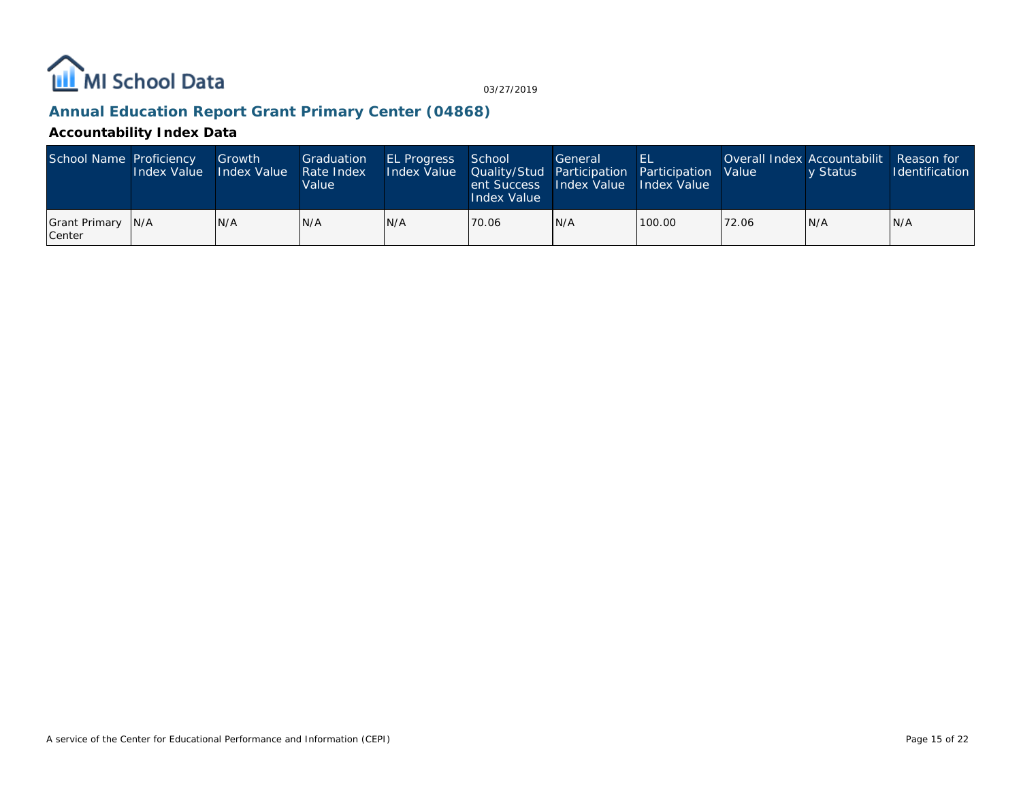

# **Annual Education Report Grant Primary Center (04868)**

#### **Accountability Index Data**

| School Name Proficiency      | Growth<br>Index Value Index Value | Graduation<br>Rate Index<br>Value | <b>EL Progress</b> School<br>Index Value Cuality/Stud Participation Participation Value | lent Success Hndex Value Hndex Value<br>Index Value | General | EL     |       | Overall Index Accountabilit Reason for<br>v Status | <b>Identification</b> |
|------------------------------|-----------------------------------|-----------------------------------|-----------------------------------------------------------------------------------------|-----------------------------------------------------|---------|--------|-------|----------------------------------------------------|-----------------------|
| Grant Primary N/A<br> Center | IN/A                              | IN/A                              | IN/A                                                                                    | 70.06                                               | N/A     | 100.00 | 72.06 | IN/A                                               | IN/A                  |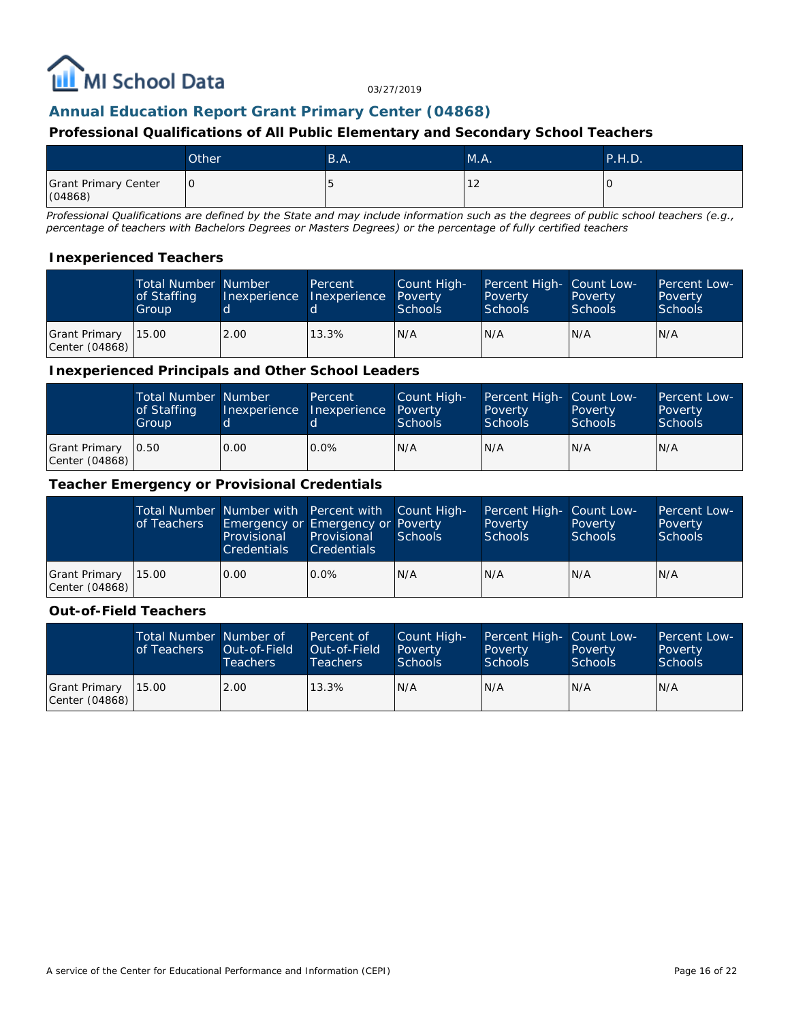

## **Annual Education Report Grant Primary Center (04868)**

#### **Professional Qualifications of All Public Elementary and Secondary School Teachers**

|                                 | Other | B.A.                     | M.A.   | <b>P.H.D.</b> |
|---------------------------------|-------|--------------------------|--------|---------------|
| Grant Primary Center<br>(04868) | 10    | $\overline{\phantom{0}}$ | $\sim$ |               |

*Professional Qualifications are defined by the State and may include information such as the degrees of public school teachers (e.g., percentage of teachers with Bachelors Degrees or Masters Degrees) or the percentage of fully certified teachers*

#### **Inexperienced Teachers**

|                                         | <b>Total Number Number</b><br>of Staffing<br>Group |      | Percent<br>Inexperience Inexperience Poverty | Count High-<br>Schools | Percent High- Count Low-<br>Poverty<br><b>Schools</b> | Poverty<br><b>Schools</b> | <b>Percent Low-</b><br>Poverty<br>Schools |
|-----------------------------------------|----------------------------------------------------|------|----------------------------------------------|------------------------|-------------------------------------------------------|---------------------------|-------------------------------------------|
| Grant Primary   15.00<br>Center (04868) |                                                    | 2.00 | 13.3%                                        | N/A                    | N/A                                                   | IN/A                      | IN/A                                      |

#### **Inexperienced Principals and Other School Leaders**

|                                 | <b>Total Number Number</b><br>of Staffing<br>Group |      | Percent<br>Inexperience Inexperience Poverty | Count High-<br><b>Schools</b> | Percent High- Count Low-<br>Poverty<br><b>Schools</b> | Poverty<br><b>Schools</b> | Percent Low-<br>Poverty<br><b>Schools</b> |
|---------------------------------|----------------------------------------------------|------|----------------------------------------------|-------------------------------|-------------------------------------------------------|---------------------------|-------------------------------------------|
| Grant Primary<br>Center (04868) | 0.50                                               | 0.00 | $0.0\%$                                      | N/A                           | N/A                                                   | N/A                       | IN/A                                      |

#### **Teacher Emergency or Provisional Credentials**

|                                         | of Teachers | Provisional<br><b>Credentials</b> | Total Number Number with Percent with Count High-<br>Emergency or Emergency or Poverty<br>Provisional<br><b>Credentials</b> | Schools | Percent High- Count Low-<br>Poverty<br><b>Schools</b> | Poverty<br><b>Schools</b> | Percent Low-<br>Poverty<br><b>Schools</b> |
|-----------------------------------------|-------------|-----------------------------------|-----------------------------------------------------------------------------------------------------------------------------|---------|-------------------------------------------------------|---------------------------|-------------------------------------------|
| Grant Primary   15.00<br>Center (04868) |             | 0.00                              | $0.0\%$                                                                                                                     | IN/A    | N/A                                                   | N/A                       | N/A                                       |

#### **Out-of-Field Teachers**

|                                         | Total Number Number of<br>of Teachers | Out-of-Field<br><b>Teachers</b> | Percent of<br>Out-of-Field<br>Teachers | Count High-<br>Poverty<br><b>Schools</b> | Percent High- Count Low-<br>Poverty<br>Schools | Poverty,<br><b>Schools</b> | <b>Percent Low-</b><br>Poverty<br>Schools |
|-----------------------------------------|---------------------------------------|---------------------------------|----------------------------------------|------------------------------------------|------------------------------------------------|----------------------------|-------------------------------------------|
| Grant Primary   15.00<br>Center (04868) |                                       | 2.00                            | 13.3%                                  | N/A                                      | N/A                                            | IN/A                       | IN/A                                      |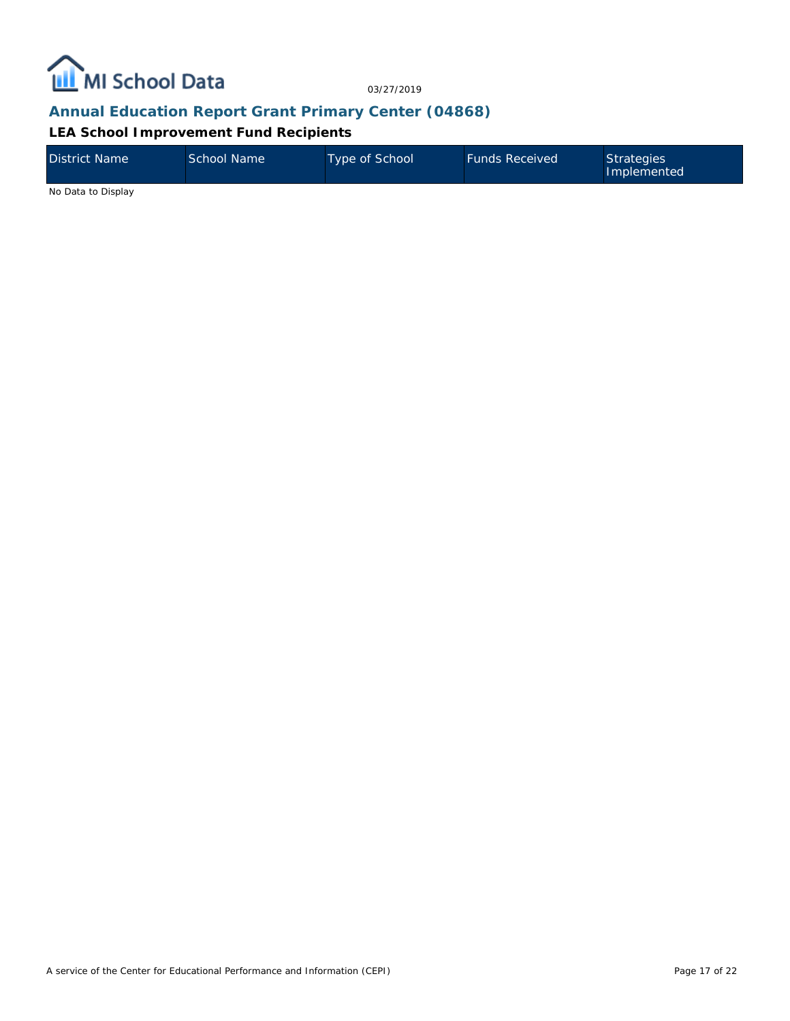

#### **Annual Education Report Grant Primary Center (04868)**

**LEA School Improvement Fund Recipients**

| District Name      | School Name | Type of School | <b>Funds Received</b> | Strategies<br>Implemented |
|--------------------|-------------|----------------|-----------------------|---------------------------|
| No Data to Display |             |                |                       |                           |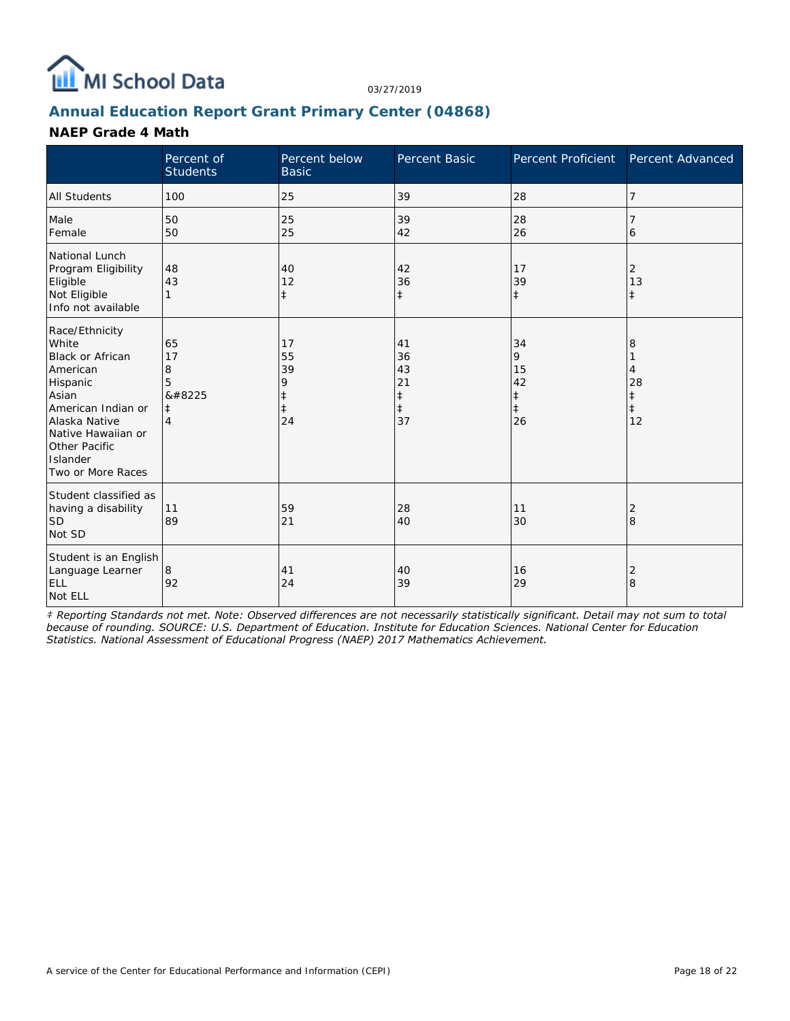

### **Annual Education Report Grant Primary Center (04868)**

#### **NAEP Grade 4 Math**

|                                                                                                                                                                                                    | Percent of<br><b>Students</b>                           | Percent below<br><b>Basic</b>                         | Percent Basic                                          | Percent Proficient                                    | Percent Advanced                 |
|----------------------------------------------------------------------------------------------------------------------------------------------------------------------------------------------------|---------------------------------------------------------|-------------------------------------------------------|--------------------------------------------------------|-------------------------------------------------------|----------------------------------|
| All Students                                                                                                                                                                                       | 100                                                     | 25                                                    | 39                                                     | 28                                                    | 7                                |
| Male<br>Female                                                                                                                                                                                     | 50<br>50                                                | 25<br>25                                              | 39<br>42                                               | 28<br>26                                              | 7<br>6                           |
| National Lunch<br>Program Eligibility<br>Eligible<br>Not Eligible<br>Info not available                                                                                                            | 48<br>43                                                | 40<br>12<br>$\ddagger$                                | 42<br>36<br>$\ddagger$                                 | 17<br>39<br>$\ddagger$                                | 2<br>13<br>$\pm$                 |
| Race/Ethnicity<br>White<br><b>Black or African</b><br>American<br>Hispanic<br>Asian<br>American Indian or<br>Alaska Native<br>Native Hawaiian or<br>Other Pacific<br>Islander<br>Two or More Races | 65<br>17<br>8<br>5<br>‡<br>$\ddagger$<br>$\overline{4}$ | 17<br>55<br>39<br>9<br>$\ddagger$<br>$\ddagger$<br>24 | 41<br>36<br>43<br>21<br>$\ddagger$<br>$\ddagger$<br>37 | 34<br>9<br>15<br>42<br>$\ddagger$<br>$\ddagger$<br>26 | 8<br>4<br>28<br>$\ddagger$<br>12 |
| Student classified as<br>having a disability<br><b>SD</b><br>Not SD                                                                                                                                | 11<br>89                                                | 59<br>21                                              | 28<br>40                                               | 11<br>30                                              | 2<br>8                           |
| Student is an English<br>Language Learner<br><b>ELL</b><br>Not ELL                                                                                                                                 | 8<br>92                                                 | 41<br>24                                              | 40<br>39                                               | 16<br>29                                              | 2<br>8                           |

*‡ Reporting Standards not met. Note: Observed differences are not necessarily statistically significant. Detail may not sum to total because of rounding. SOURCE: U.S. Department of Education. Institute for Education Sciences. National Center for Education Statistics. National Assessment of Educational Progress (NAEP) 2017 Mathematics Achievement.*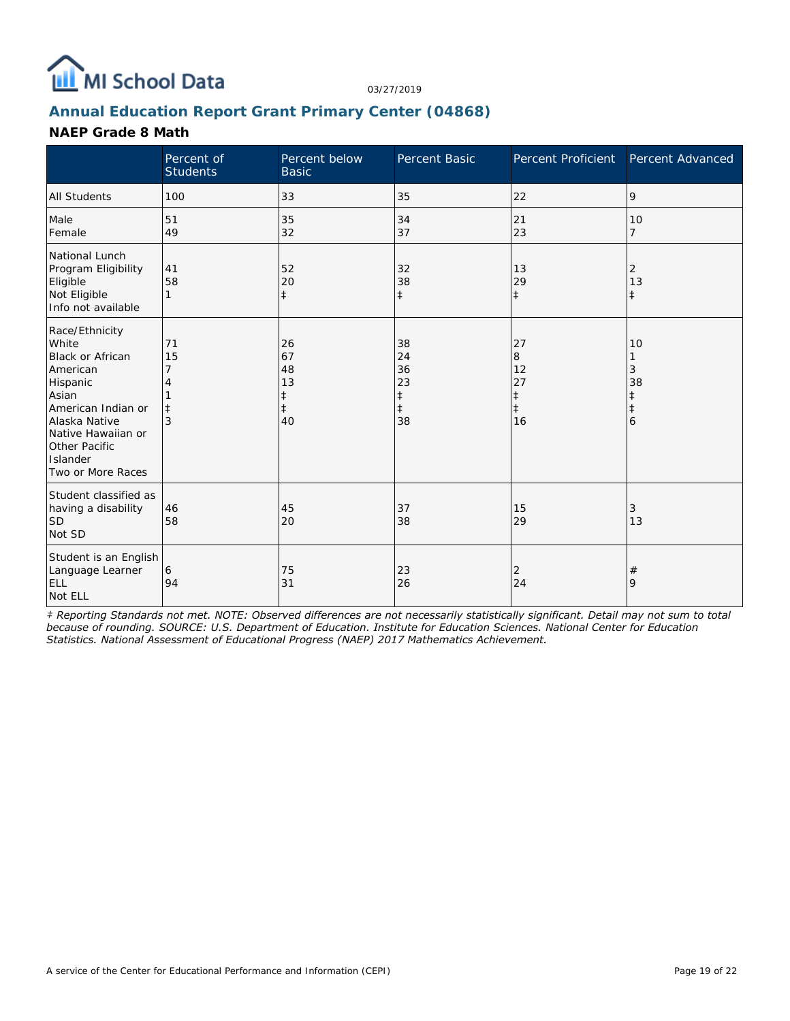

### **Annual Education Report Grant Primary Center (04868)**

#### **NAEP Grade 8 Math**

|                                                                                                                                                                                                    | Percent of<br><b>Students</b>    | Percent below<br><b>Basic</b>                          | Percent Basic                                          | Percent Proficient                                    | Percent Advanced                 |
|----------------------------------------------------------------------------------------------------------------------------------------------------------------------------------------------------|----------------------------------|--------------------------------------------------------|--------------------------------------------------------|-------------------------------------------------------|----------------------------------|
| <b>All Students</b>                                                                                                                                                                                | 100                              | 33                                                     | 35                                                     | 22                                                    | 9                                |
| Male<br>Female                                                                                                                                                                                     | 51<br>49                         | 35<br>32                                               | 34<br>37                                               | 21<br>23                                              | 10<br>$\overline{7}$             |
| National Lunch<br>Program Eligibility<br>Eligible<br>Not Eligible<br>Info not available                                                                                                            | 41<br>58<br>1                    | 52<br>20<br>$\ddagger$                                 | 32<br>38<br>$\ddagger$                                 | 13<br>29<br>$\ddagger$                                | 2<br>13<br>$\pm$                 |
| Race/Ethnicity<br>White<br>Black or African<br>American<br>Hispanic<br>Asian<br>American Indian or<br>Alaska Native<br>Native Hawaiian or<br><b>Other Pacific</b><br>Islander<br>Two or More Races | 71<br>15<br>7<br>$\ddagger$<br>3 | 26<br>67<br>48<br>13<br>$\ddagger$<br>$\ddagger$<br>40 | 38<br>24<br>36<br>23<br>$\ddagger$<br>$\ddagger$<br>38 | 27<br>8<br>12<br>27<br>$\ddagger$<br>$\ddagger$<br>16 | 10<br>3<br>38<br>$\ddagger$<br>6 |
| Student classified as<br>having a disability<br><b>SD</b><br>Not SD                                                                                                                                | 46<br>58                         | 45<br>20                                               | 37<br>38                                               | 15<br>29                                              | 3<br>13                          |
| Student is an English<br>Language Learner<br><b>ELL</b><br>Not ELL                                                                                                                                 | 6<br>94                          | 75<br>31                                               | 23<br>26                                               | 2<br>24                                               | $^{\#}$<br>9                     |

*‡ Reporting Standards not met. NOTE: Observed differences are not necessarily statistically significant. Detail may not sum to total because of rounding. SOURCE: U.S. Department of Education. Institute for Education Sciences. National Center for Education Statistics. National Assessment of Educational Progress (NAEP) 2017 Mathematics Achievement.*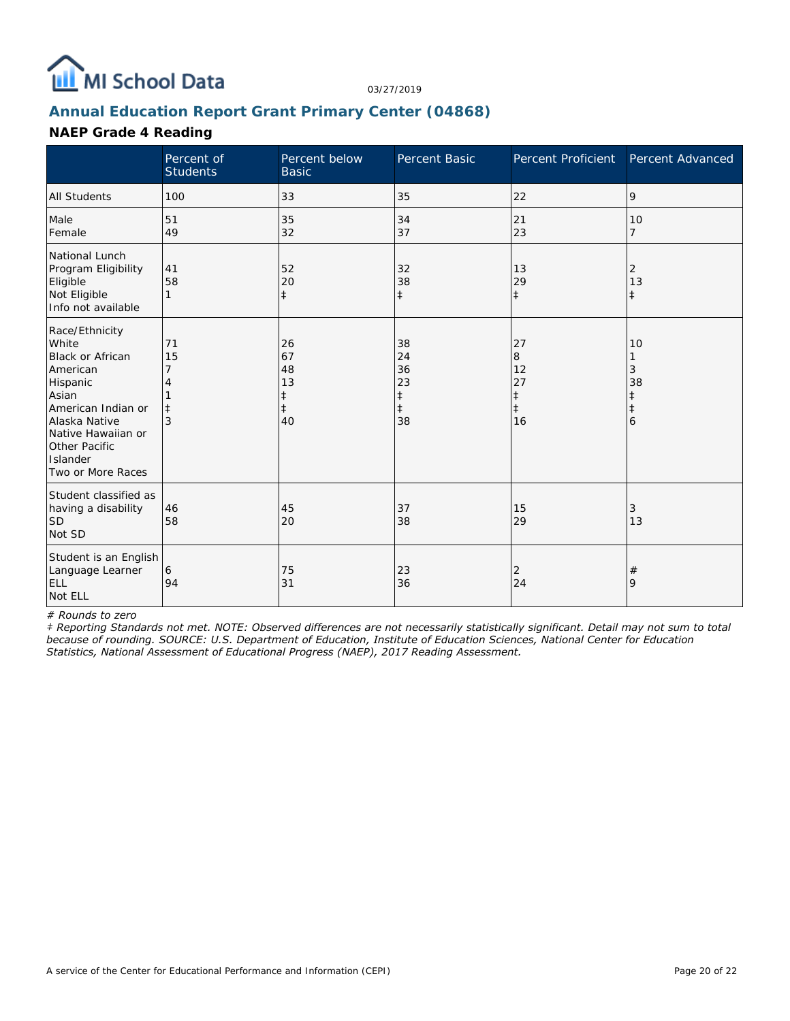![](_page_19_Picture_0.jpeg)

# **Annual Education Report Grant Primary Center (04868)**

## **NAEP Grade 4 Reading**

|                                                                                                                                                                                                    | Percent of<br><b>Students</b> | Percent below<br><b>Basic</b>            | <b>Percent Basic</b>                                   | Percent Proficient                                    | Percent Advanced                 |
|----------------------------------------------------------------------------------------------------------------------------------------------------------------------------------------------------|-------------------------------|------------------------------------------|--------------------------------------------------------|-------------------------------------------------------|----------------------------------|
| <b>All Students</b>                                                                                                                                                                                | 100                           | 33                                       | 35                                                     | 22                                                    | 9                                |
| Male<br>Female                                                                                                                                                                                     | 51<br>49                      | 35<br>32                                 | 34<br>37                                               | 21<br>23                                              | 10<br>$\overline{7}$             |
| National Lunch<br>Program Eligibility<br>Eligible<br>Not Eligible<br>Info not available                                                                                                            | 41<br>58<br>1                 | 52<br>20<br>$\ddagger$                   | 32<br>38<br>$\ddagger$                                 | 13<br>29<br>$\ddagger$                                | 2<br>13<br>$\pm$                 |
| Race/Ethnicity<br>White<br><b>Black or African</b><br>American<br>Hispanic<br>Asian<br>American Indian or<br>Alaska Native<br>Native Hawaiian or<br>Other Pacific<br>Islander<br>Two or More Races | 71<br>15<br>$\ddagger$<br>3   | 26<br>67<br>48<br>13<br>$\ddagger$<br>40 | 38<br>24<br>36<br>23<br>$\ddagger$<br>$\ddagger$<br>38 | 27<br>8<br>12<br>27<br>$\ddagger$<br>$\ddagger$<br>16 | 10<br>3<br>38<br>$\ddagger$<br>6 |
| Student classified as<br>having a disability<br><b>SD</b><br>Not SD                                                                                                                                | 46<br>58                      | 45<br>20                                 | 37<br>38                                               | 15<br>29                                              | 3<br>13                          |
| Student is an English<br>Language Learner<br><b>ELL</b><br>Not ELL                                                                                                                                 | 6<br>94                       | 75<br>31                                 | 23<br>36                                               | 2<br>24                                               | $\#$<br>9                        |

*# Rounds to zero*

*‡ Reporting Standards not met. NOTE: Observed differences are not necessarily statistically significant. Detail may not sum to total because of rounding. SOURCE: U.S. Department of Education, Institute of Education Sciences, National Center for Education Statistics, National Assessment of Educational Progress (NAEP), 2017 Reading Assessment.*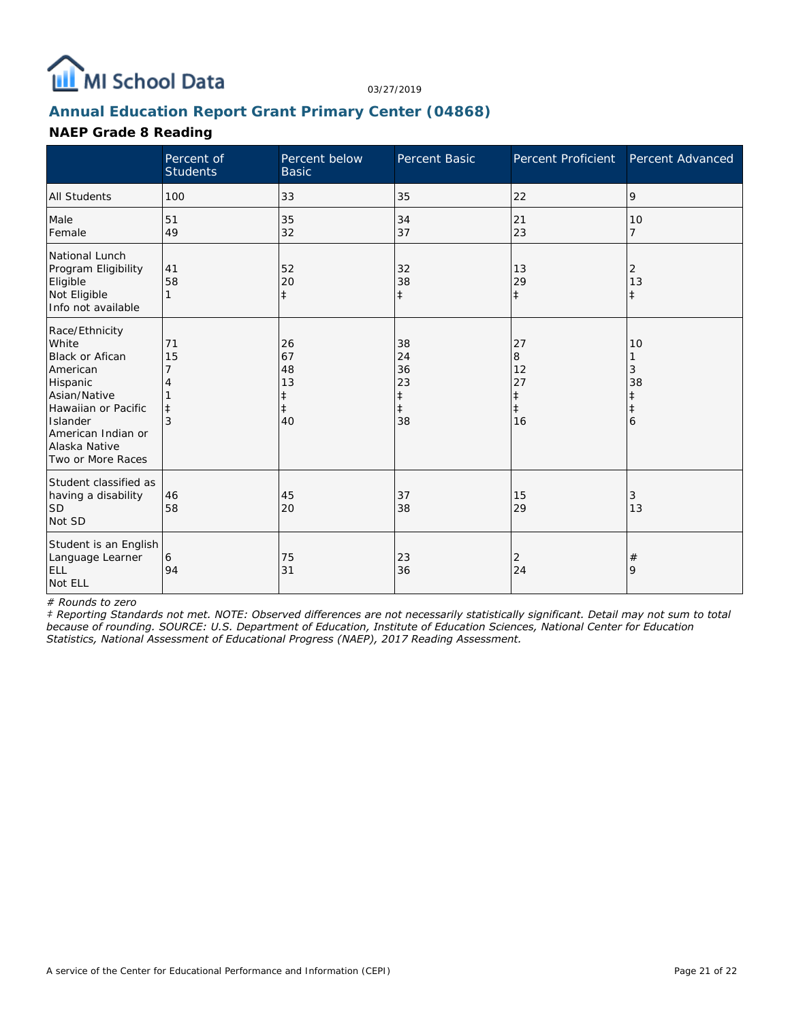![](_page_20_Picture_0.jpeg)

### **Annual Education Report Grant Primary Center (04868)**

#### **NAEP Grade 8 Reading**

|                                                                                                                                                                                          | Percent of<br><b>Students</b> | Percent below<br><b>Basic</b>                 | Percent Basic                                          | Percent Proficient                                    | Percent Advanced        |
|------------------------------------------------------------------------------------------------------------------------------------------------------------------------------------------|-------------------------------|-----------------------------------------------|--------------------------------------------------------|-------------------------------------------------------|-------------------------|
| <b>All Students</b>                                                                                                                                                                      | 100                           | 33                                            | 35                                                     | 22                                                    | 9                       |
| Male<br>Female                                                                                                                                                                           | 51<br>49                      | 35<br>32                                      | 34<br>37                                               | 21<br>23                                              | 10<br>7                 |
| National Lunch<br>Program Eligibility<br>Eligible<br>Not Eligible<br>Info not available                                                                                                  | 41<br>58                      | 52<br>20<br>$\ddagger$                        | 32<br>38<br>$\ddagger$                                 | 13<br>29<br>$\ddagger$                                | 2<br>13<br>$\pm$        |
| Race/Ethnicity<br>White<br><b>Black or Afican</b><br>American<br>Hispanic<br>Asian/Native<br>Hawaiian or Pacific<br>Islander<br>American Indian or<br>Alaska Native<br>Two or More Races | 71<br>15                      | 26<br>67<br>48<br>13<br>ŧ<br>$\ddagger$<br>40 | 38<br>24<br>36<br>23<br>$\ddagger$<br>$\ddagger$<br>38 | 27<br>8<br>12<br>27<br>$\ddagger$<br>$\ddagger$<br>16 | 10<br>3<br>38<br>ŧ<br>6 |
| Student classified as<br>having a disability<br><b>SD</b><br>Not SD                                                                                                                      | 46<br>58                      | 45<br>20                                      | 37<br>38                                               | 15<br>29                                              | 3<br>13                 |
| Student is an English<br>Language Learner<br><b>ELL</b><br>Not ELL                                                                                                                       | 6<br>94                       | 75<br>31                                      | 23<br>36                                               | 2<br>24                                               | $^{\#}$<br>9            |

*# Rounds to zero*

*‡ Reporting Standards not met. NOTE: Observed differences are not necessarily statistically significant. Detail may not sum to total because of rounding. SOURCE: U.S. Department of Education, Institute of Education Sciences, National Center for Education Statistics, National Assessment of Educational Progress (NAEP), 2017 Reading Assessment.*